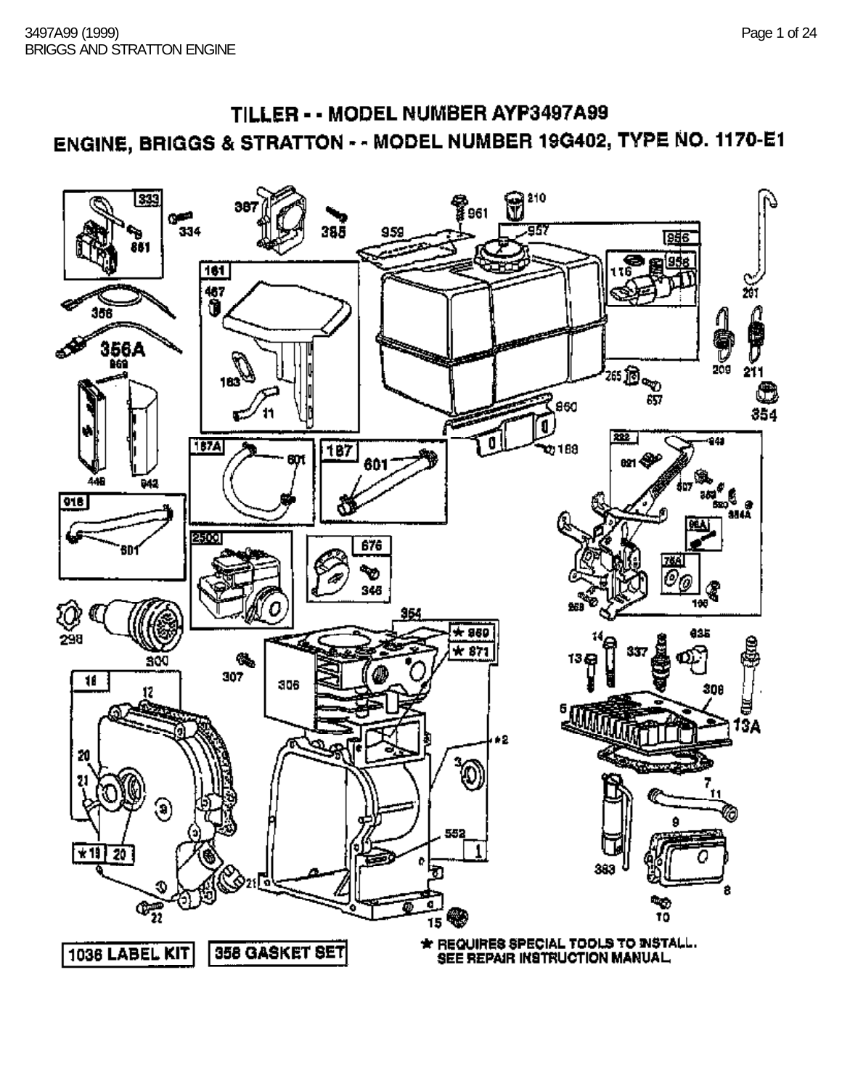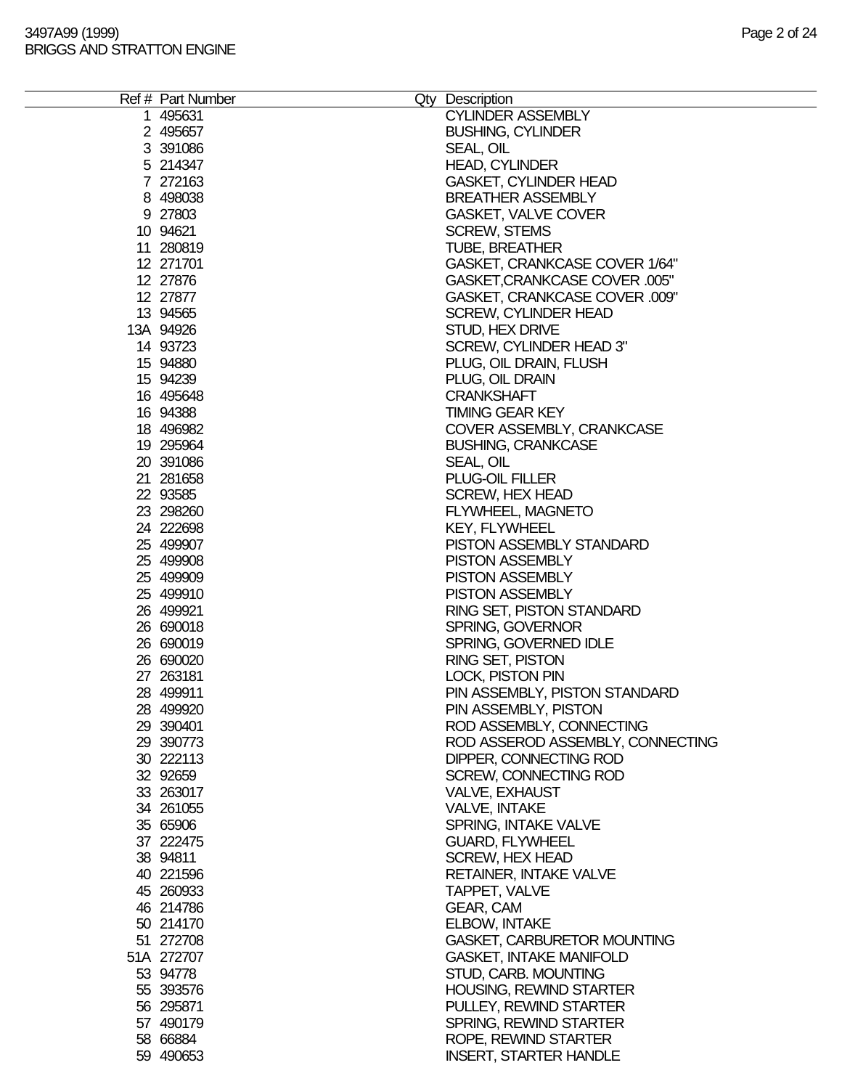|  | Ref # Part Number      | Qty Description                             |  |
|--|------------------------|---------------------------------------------|--|
|  | 1 495631               | <b>CYLINDER ASSEMBLY</b>                    |  |
|  | 2 495657               | <b>BUSHING, CYLINDER</b>                    |  |
|  | 3 391086               | SEAL, OIL                                   |  |
|  | 5 214347               | <b>HEAD, CYLINDER</b>                       |  |
|  | 7 272163               | <b>GASKET, CYLINDER HEAD</b>                |  |
|  | 8 498038               | <b>BREATHER ASSEMBLY</b>                    |  |
|  | 9 27803                | GASKET, VALVE COVER                         |  |
|  | 10 94621               | <b>SCREW, STEMS</b>                         |  |
|  | 11 280819              | <b>TUBE, BREATHER</b>                       |  |
|  | 12 271701              | GASKET, CRANKCASE COVER 1/64"               |  |
|  | 12 27876               | GASKET, CRANKCASE COVER .005"               |  |
|  | 12 27877               | GASKET, CRANKCASE COVER .009"               |  |
|  | 13 94565               | <b>SCREW, CYLINDER HEAD</b>                 |  |
|  | 13A 94926              | STUD, HEX DRIVE                             |  |
|  | 14 93723               | SCREW, CYLINDER HEAD 3"                     |  |
|  | 15 94880               | PLUG, OIL DRAIN, FLUSH                      |  |
|  | 15 94239               | PLUG, OIL DRAIN                             |  |
|  | 16 495648              | <b>CRANKSHAFT</b><br><b>TIMING GEAR KEY</b> |  |
|  | 16 94388<br>18 49 6982 | COVER ASSEMBLY, CRANKCASE                   |  |
|  | 19 295964              |                                             |  |
|  | 20 391086              | <b>BUSHING, CRANKCASE</b><br>SEAL, OIL      |  |
|  | 21 281658              | PLUG-OIL FILLER                             |  |
|  | 22 93585               | <b>SCREW, HEX HEAD</b>                      |  |
|  | 23 298260              | FLYWHEEL, MAGNETO                           |  |
|  | 24 222698              | <b>KEY, FLYWHEEL</b>                        |  |
|  | 25 499907              | PISTON ASSEMBLY STANDARD                    |  |
|  | 25 499908              | PISTON ASSEMBLY                             |  |
|  | 25 499909              | <b>PISTON ASSEMBLY</b>                      |  |
|  | 25 499910              | <b>PISTON ASSEMBLY</b>                      |  |
|  | 26 499921              | RING SET, PISTON STANDARD                   |  |
|  | 26 690018              | <b>SPRING, GOVERNOR</b>                     |  |
|  | 26 690019              | SPRING, GOVERNED IDLE                       |  |
|  | 26 690020              | RING SET, PISTON                            |  |
|  | 27 263181              | LOCK, PISTON PIN                            |  |
|  | 28 499911              | PIN ASSEMBLY, PISTON STANDARD               |  |
|  | 28 499920              | PIN ASSEMBLY, PISTON                        |  |
|  | 29 390401              | ROD ASSEMBLY, CONNECTING                    |  |
|  | 29 390773              | ROD ASSEROD ASSEMBLY, CONNECTING            |  |
|  | 30 222113              | DIPPER, CONNECTING ROD                      |  |
|  | 32 92659               | SCREW, CONNECTING ROD                       |  |
|  | 33 263017              | <b>VALVE, EXHAUST</b>                       |  |
|  | 34 261055              | VALVE, INTAKE                               |  |
|  | 35 65906               | SPRING, INTAKE VALVE                        |  |
|  | 37 222475              | <b>GUARD, FLYWHEEL</b>                      |  |
|  | 38 94811               | <b>SCREW, HEX HEAD</b>                      |  |
|  | 40 221596              | <b>RETAINER, INTAKE VALVE</b>               |  |
|  | 45 260933              | TAPPET, VALVE                               |  |
|  | 46 214786              | GEAR, CAM                                   |  |
|  | 50 214170              | <b>ELBOW, INTAKE</b>                        |  |
|  | 51 272708              | GASKET, CARBURETOR MOUNTING                 |  |
|  | 51A 272707             | <b>GASKET, INTAKE MANIFOLD</b>              |  |
|  | 53 94778               | STUD, CARB. MOUNTING                        |  |
|  | 55 393576              | HOUSING, REWIND STARTER                     |  |
|  | 56 295871              | PULLEY, REWIND STARTER                      |  |
|  | 57 490179              | SPRING, REWIND STARTER                      |  |
|  | 58 66884               | ROPE, REWIND STARTER                        |  |
|  | 59 490653              | <b>INSERT, STARTER HANDLE</b>               |  |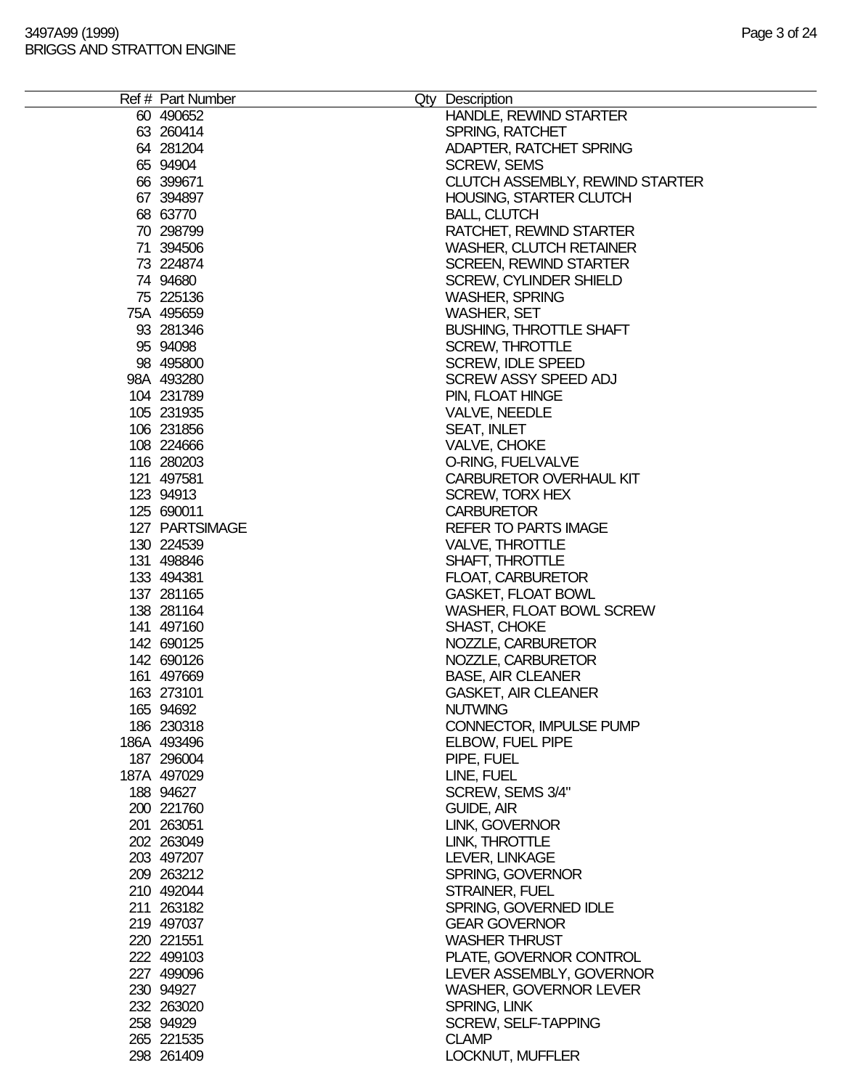| Ref # Part Number | Qty Description                        |
|-------------------|----------------------------------------|
| 60 490 652        | HANDLE, REWIND STARTER                 |
| 63 260414         | <b>SPRING, RATCHET</b>                 |
| 64 281204         | ADAPTER, RATCHET SPRING                |
| 65 94904          | <b>SCREW, SEMS</b>                     |
| 66 399671         | <b>CLUTCH ASSEMBLY, REWIND STARTER</b> |
| 67 394897         | HOUSING, STARTER CLUTCH                |
| 68 63770          | <b>BALL, CLUTCH</b>                    |
| 70 298799         | RATCHET, REWIND STARTER                |
| 71 394506         | <b>WASHER, CLUTCH RETAINER</b>         |
| 73 224874         | <b>SCREEN, REWIND STARTER</b>          |
| 74 94680          | <b>SCREW, CYLINDER SHIELD</b>          |
| 75 225136         | <b>WASHER, SPRING</b>                  |
| 75A 495659        | <b>WASHER, SET</b>                     |
| 93 281346         | <b>BUSHING, THROTTLE SHAFT</b>         |
| 95 94098          | <b>SCREW, THROTTLE</b>                 |
| 98 495800         | <b>SCREW, IDLE SPEED</b>               |
| 98A 493280        | <b>SCREW ASSY SPEED ADJ</b>            |
| 104 231789        | PIN, FLOAT HINGE                       |
| 105 231935        | VALVE, NEEDLE                          |
| 106 231856        | <b>SEAT, INLET</b>                     |
| 108 224666        | VALVE, CHOKE                           |
| 116 280203        | O-RING, FUELVALVE                      |
| 121 497581        | <b>CARBURETOR OVERHAUL KIT</b>         |
| 123 94913         | <b>SCREW, TORX HEX</b>                 |
| 125 690011        | <b>CARBURETOR</b>                      |
| 127 PARTSIMAGE    | <b>REFER TO PARTS IMAGE</b>            |
| 130 224539        | <b>VALVE, THROTTLE</b>                 |
| 131 498846        | SHAFT, THROTTLE                        |
| 133 494381        | <b>FLOAT, CARBURETOR</b>               |
| 137 281165        | <b>GASKET, FLOAT BOWL</b>              |
| 138 281164        | WASHER, FLOAT BOWL SCREW               |
| 141 497160        | <b>SHAST, CHOKE</b>                    |
| 142 690125        | NOZZLE, CARBURETOR                     |
| 142 690126        | NOZZLE, CARBURETOR                     |
| 161 497669        | <b>BASE, AIR CLEANER</b>               |
| 163 273101        | <b>GASKET, AIR CLEANER</b>             |
| 165 94692         | <b>NUTWING</b>                         |
| 186 230318        | CONNECTOR, IMPULSE PUMP                |
| 186A 493496       | ELBOW, FUEL PIPE                       |
| 187 296004        | PIPE, FUEL                             |
| 187A 497029       | LINE, FUEL                             |
| 188 94627         | SCREW, SEMS 3/4"                       |
| 200 221760        | GUIDE, AIR                             |
| 201 263051        | LINK, GOVERNOR                         |
| 202 263049        | LINK, THROTTLE                         |
| 203 497207        | LEVER, LINKAGE                         |
| 209 263212        | SPRING, GOVERNOR                       |
| 210 492044        | STRAINER, FUEL                         |
| 211 263182        | SPRING, GOVERNED IDLE                  |
| 219 497037        | <b>GEAR GOVERNOR</b>                   |
| 220 221551        | <b>WASHER THRUST</b>                   |
| 222 499103        | PLATE, GOVERNOR CONTROL                |
| 227 499096        | LEVER ASSEMBLY, GOVERNOR               |
| 230 94927         | <b>WASHER, GOVERNOR LEVER</b>          |
| 232 263020        | SPRING, LINK                           |
| 258 94929         | <b>SCREW, SELF-TAPPING</b>             |
| 265 221535        | <b>CLAMP</b>                           |
| 298 261409        | LOCKNUT, MUFFLER                       |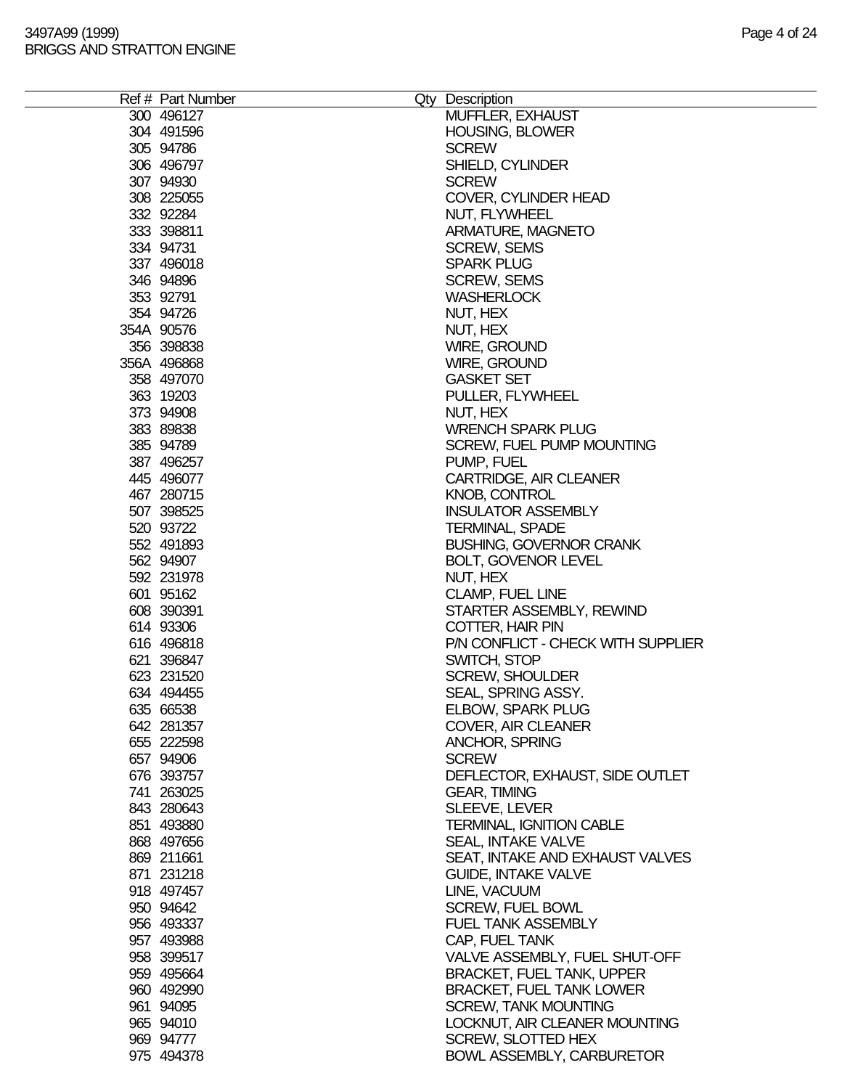|  | Ref # Part Number<br>300 496127 | Qty Description<br>MUFFLER, EXHAUST                           |  |
|--|---------------------------------|---------------------------------------------------------------|--|
|  | 304 491596                      | <b>HOUSING, BLOWER</b>                                        |  |
|  | 305 94786                       | <b>SCREW</b>                                                  |  |
|  | 306 496797                      | SHIELD, CYLINDER                                              |  |
|  | 307 94930                       | <b>SCREW</b>                                                  |  |
|  | 308 225055                      | COVER, CYLINDER HEAD                                          |  |
|  | 332 92284                       | NUT, FLYWHEEL                                                 |  |
|  | 333 398811                      | ARMATURE, MAGNETO                                             |  |
|  | 334 94731                       | <b>SCREW, SEMS</b>                                            |  |
|  | 337 496018                      | <b>SPARK PLUG</b>                                             |  |
|  | 346 94896                       | <b>SCREW, SEMS</b>                                            |  |
|  | 353 92791                       | <b>WASHERLOCK</b>                                             |  |
|  | 354 94726                       | NUT, HEX                                                      |  |
|  | 354A 90576                      | NUT, HEX                                                      |  |
|  | 356 398838                      | WIRE, GROUND                                                  |  |
|  | 356A 496868                     | <b>WIRE, GROUND</b>                                           |  |
|  | 358 497070                      | <b>GASKET SET</b>                                             |  |
|  | 363 19203                       | PULLER, FLYWHEEL                                              |  |
|  | 373 94908                       | NUT, HEX                                                      |  |
|  | 383 89838                       | <b>WRENCH SPARK PLUG</b>                                      |  |
|  | 385 94789                       | SCREW, FUEL PUMP MOUNTING                                     |  |
|  | 387 496257                      | PUMP, FUEL                                                    |  |
|  | 445 496077                      | CARTRIDGE, AIR CLEANER                                        |  |
|  | 467 280715                      | <b>KNOB, CONTROL</b>                                          |  |
|  | 507 398525                      | <b>INSULATOR ASSEMBLY</b>                                     |  |
|  | 520 93722<br>552 491893         | <b>TERMINAL, SPADE</b>                                        |  |
|  | 562 94907                       | <b>BUSHING, GOVERNOR CRANK</b><br><b>BOLT, GOVENOR LEVEL</b>  |  |
|  | 592 231978                      | NUT, HEX                                                      |  |
|  | 601 95162                       | CLAMP, FUEL LINE                                              |  |
|  | 608 390391                      | STARTER ASSEMBLY, REWIND                                      |  |
|  | 614 93306                       | COTTER, HAIR PIN                                              |  |
|  | 616 496818                      | P/N CONFLICT - CHECK WITH SUPPLIER                            |  |
|  | 621 396847                      | SWITCH, STOP                                                  |  |
|  | 623 231520                      | <b>SCREW, SHOULDER</b>                                        |  |
|  | 634 494455                      | SEAL, SPRING ASSY.                                            |  |
|  | 635 66538                       | ELBOW, SPARK PLUG                                             |  |
|  | 642 281357                      | <b>COVER, AIR CLEANER</b>                                     |  |
|  | 655 222598                      | <b>ANCHOR, SPRING</b>                                         |  |
|  | 657 94906                       | <b>SCREW</b>                                                  |  |
|  | 676 393757                      | DEFLECTOR, EXHAUST, SIDE OUTLET                               |  |
|  | 741 263025                      | <b>GEAR, TIMING</b>                                           |  |
|  | 843 280643                      | SLEEVE, LEVER                                                 |  |
|  | 851 493880                      | <b>TERMINAL, IGNITION CABLE</b>                               |  |
|  | 868 497656                      | <b>SEAL, INTAKE VALVE</b>                                     |  |
|  | 869 211661<br>871 231218        | SEAT, INTAKE AND EXHAUST VALVES<br><b>GUIDE, INTAKE VALVE</b> |  |
|  | 918 497457                      | LINE, VACUUM                                                  |  |
|  | 950 94642                       | <b>SCREW, FUEL BOWL</b>                                       |  |
|  | 956 493337                      | <b>FUEL TANK ASSEMBLY</b>                                     |  |
|  | 957 493988                      | CAP, FUEL TANK                                                |  |
|  | 958 399517                      | VALVE ASSEMBLY, FUEL SHUT-OFF                                 |  |
|  | 959 495664                      | <b>BRACKET, FUEL TANK, UPPER</b>                              |  |
|  | 960 492990                      | <b>BRACKET, FUEL TANK LOWER</b>                               |  |
|  | 961 94095                       | <b>SCREW, TANK MOUNTING</b>                                   |  |
|  | 965 94010                       | LOCKNUT, AIR CLEANER MOUNTING                                 |  |
|  | 969 94777                       | SCREW, SLOTTED HEX                                            |  |
|  | 975 494378                      | <b>BOWL ASSEMBLY, CARBURETOR</b>                              |  |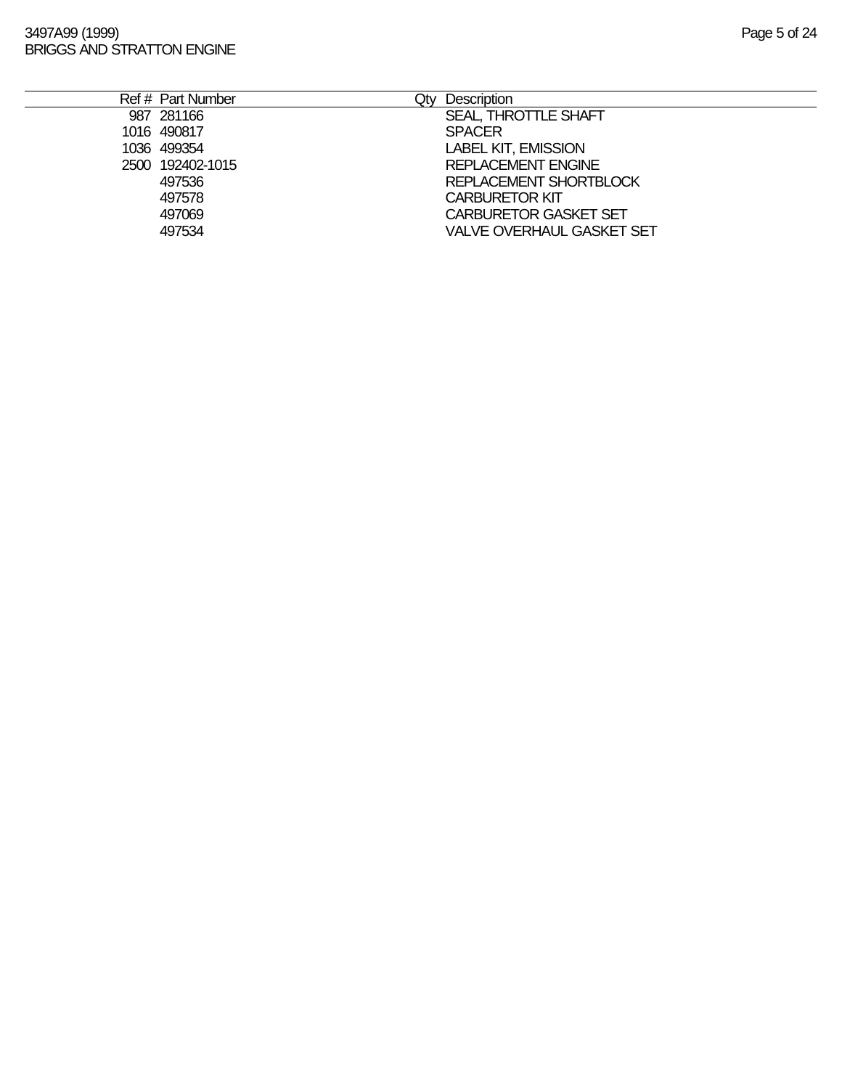| Ref # Part Number | Qtv | Description                  |
|-------------------|-----|------------------------------|
| 987 281166        |     | SEAL, THROTTLE SHAFT         |
| 1016 490817       |     | <b>SPACER</b>                |
| 1036 499354       |     | <b>LABEL KIT, EMISSION</b>   |
| 2500 192402-1015  |     | <b>REPLACEMENT ENGINE</b>    |
| 497536            |     | REPLACEMENT SHORTBLOCK       |
| 497578            |     | <b>CARBURETOR KIT</b>        |
| 497069            |     | <b>CARBURETOR GASKET SET</b> |
| 497534            |     | VALVE OVERHAUL GASKET SET    |
|                   |     |                              |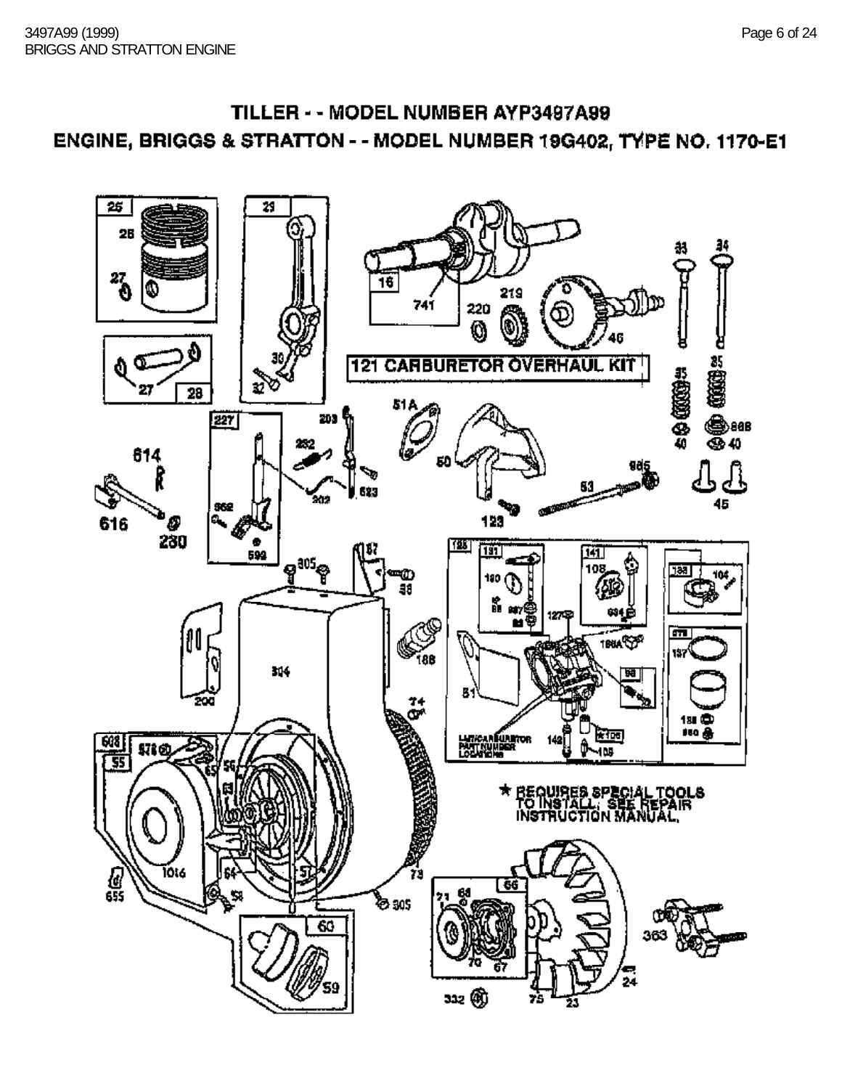# TILLER - - MODEL NUMBER AYP3497A99 ENGINE, BRIGGS & STRATTON - - MODEL NUMBER 19G402, TYPE NO. 1170-E1

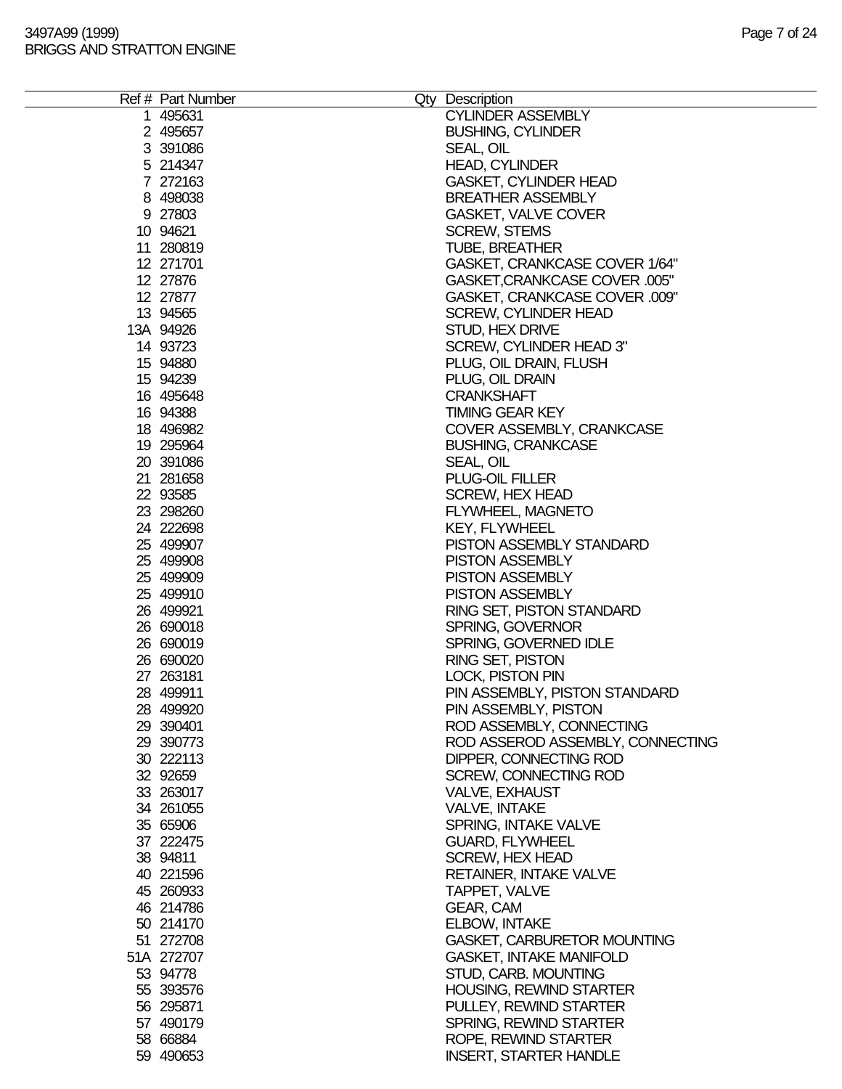| Ref # Part Number | Qty Description                    |
|-------------------|------------------------------------|
| 1 495631          | <b>CYLINDER ASSEMBLY</b>           |
| 2 495657          | <b>BUSHING, CYLINDER</b>           |
| 3 391086          | SEAL, OIL                          |
|                   |                                    |
| 5 214347          | <b>HEAD, CYLINDER</b>              |
| 7 272163          | <b>GASKET, CYLINDER HEAD</b>       |
| 8 498038          | <b>BREATHER ASSEMBLY</b>           |
| 9 27803           | <b>GASKET, VALVE COVER</b>         |
| 10 94621          | <b>SCREW, STEMS</b>                |
|                   |                                    |
| 11 280819         | <b>TUBE, BREATHER</b>              |
| 12 271701         | GASKET, CRANKCASE COVER 1/64"      |
| 12 27876          | GASKET, CRANKCASE COVER .005"      |
| 12 27877          | GASKET, CRANKCASE COVER .009"      |
| 13 94565          | <b>SCREW, CYLINDER HEAD</b>        |
|                   |                                    |
| 13A 94926         | STUD, HEX DRIVE                    |
| 14 93723          | SCREW, CYLINDER HEAD 3"            |
| 15 94880          | PLUG, OIL DRAIN, FLUSH             |
| 15 94239          | PLUG, OIL DRAIN                    |
| 16 495648         | <b>CRANKSHAFT</b>                  |
| 16 94388          | <b>TIMING GEAR KEY</b>             |
|                   |                                    |
| 18 49 6982        | COVER ASSEMBLY, CRANKCASE          |
| 19 295964         | <b>BUSHING, CRANKCASE</b>          |
| 20 391086         | SEAL, OIL                          |
| 21 281658         | <b>PLUG-OIL FILLER</b>             |
| 22 93585          | <b>SCREW, HEX HEAD</b>             |
|                   |                                    |
| 23 298260         | FLYWHEEL, MAGNETO                  |
| 24 222698         | <b>KEY, FLYWHEEL</b>               |
| 25 499907         | PISTON ASSEMBLY STANDARD           |
| 25 499908         | <b>PISTON ASSEMBLY</b>             |
| 25 499909         | <b>PISTON ASSEMBLY</b>             |
|                   |                                    |
| 25 499910         | <b>PISTON ASSEMBLY</b>             |
| 26 499921         | RING SET, PISTON STANDARD          |
| 26 690018         | <b>SPRING, GOVERNOR</b>            |
| 26 690019         | SPRING, GOVERNED IDLE              |
| 26 690020         | <b>RING SET, PISTON</b>            |
|                   |                                    |
| 27 263181         | <b>LOCK, PISTON PIN</b>            |
| 28 499911         | PIN ASSEMBLY, PISTON STANDARD      |
| 28 499920         | PIN ASSEMBLY, PISTON               |
| 29 390401         | ROD ASSEMBLY, CONNECTING           |
| 29 390773         | ROD ASSEROD ASSEMBLY, CONNECTING   |
| 30 222113         | DIPPER, CONNECTING ROD             |
|                   |                                    |
| 32 92659          | SCREW, CONNECTING ROD              |
| 33 263017         | <b>VALVE, EXHAUST</b>              |
| 34 261055         | <b>VALVE, INTAKE</b>               |
| 35 65906          | SPRING, INTAKE VALVE               |
| 37 222475         | <b>GUARD, FLYWHEEL</b>             |
|                   |                                    |
| 38 94811          | <b>SCREW, HEX HEAD</b>             |
| 40 221596         | RETAINER, INTAKE VALVE             |
| 45 260933         | TAPPET, VALVE                      |
| 46 214786         | GEAR, CAM                          |
| 50 214170         | <b>ELBOW, INTAKE</b>               |
| 51 272708         |                                    |
|                   | <b>GASKET, CARBURETOR MOUNTING</b> |
| 51A 272707        | <b>GASKET, INTAKE MANIFOLD</b>     |
| 53 94778          | STUD, CARB. MOUNTING               |
| 55 393576         | <b>HOUSING, REWIND STARTER</b>     |
| 56 295871         | PULLEY, REWIND STARTER             |
| 57 490179         | SPRING, REWIND STARTER             |
|                   |                                    |
| 58 66884          | ROPE, REWIND STARTER               |
| 59 490653         | <b>INSERT, STARTER HANDLE</b>      |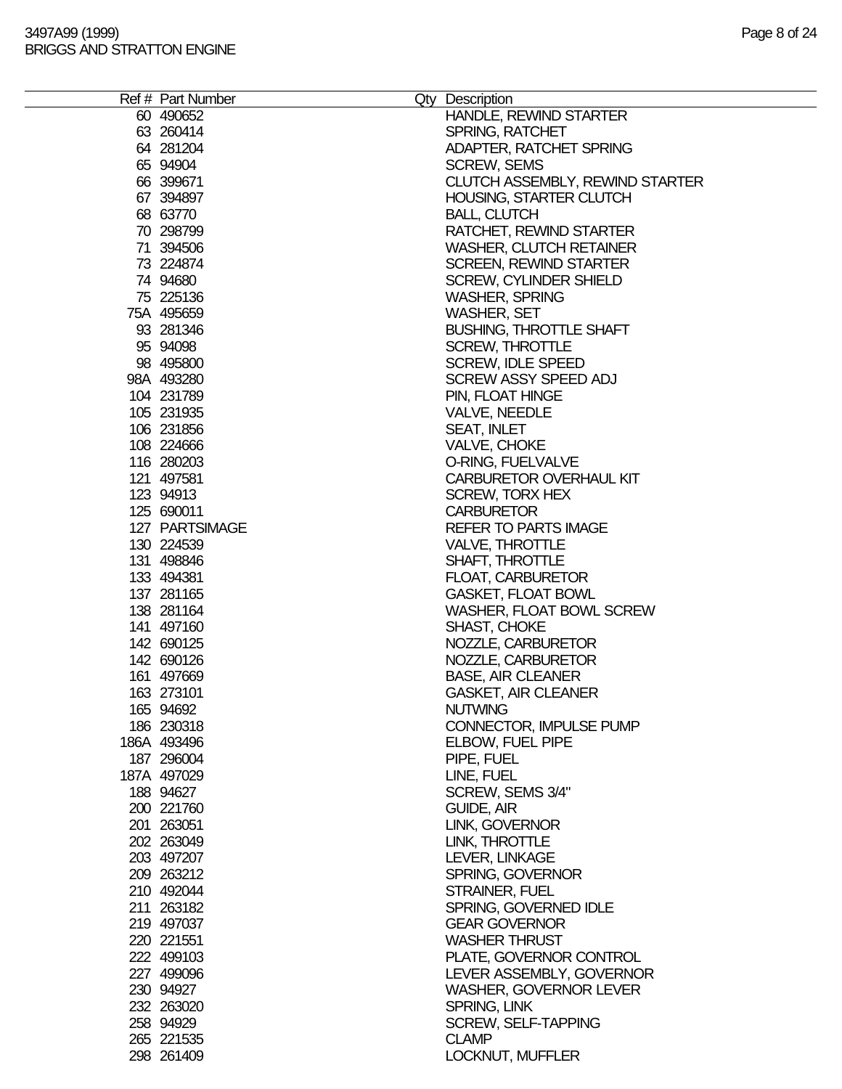| Ref # Part Number | Qty Description                        |
|-------------------|----------------------------------------|
| 60 490 652        | HANDLE, REWIND STARTER                 |
| 63 260414         | <b>SPRING, RATCHET</b>                 |
| 64 281204         | ADAPTER, RATCHET SPRING                |
| 65 94904          | <b>SCREW, SEMS</b>                     |
| 66 399671         | <b>CLUTCH ASSEMBLY, REWIND STARTER</b> |
| 67 394897         | HOUSING, STARTER CLUTCH                |
| 68 63770          | <b>BALL, CLUTCH</b>                    |
| 70 298799         | RATCHET, REWIND STARTER                |
| 71 394506         | <b>WASHER, CLUTCH RETAINER</b>         |
| 73 224874         | <b>SCREEN, REWIND STARTER</b>          |
| 74 94680          | <b>SCREW, CYLINDER SHIELD</b>          |
| 75 225136         | <b>WASHER, SPRING</b>                  |
| 75A 495659        | <b>WASHER, SET</b>                     |
| 93 281346         | <b>BUSHING, THROTTLE SHAFT</b>         |
| 95 94098          | <b>SCREW, THROTTLE</b>                 |
| 98 495800         | <b>SCREW, IDLE SPEED</b>               |
| 98A 493280        | <b>SCREW ASSY SPEED ADJ</b>            |
| 104 231789        | PIN, FLOAT HINGE                       |
| 105 231935        | VALVE, NEEDLE                          |
| 106 231856        | <b>SEAT, INLET</b>                     |
| 108 224666        | VALVE, CHOKE                           |
| 116 280203        | O-RING, FUELVALVE                      |
| 121 497581        | <b>CARBURETOR OVERHAUL KIT</b>         |
| 123 94913         | <b>SCREW, TORX HEX</b>                 |
| 125 690011        | <b>CARBURETOR</b>                      |
| 127 PARTSIMAGE    | <b>REFER TO PARTS IMAGE</b>            |
| 130 224539        | <b>VALVE, THROTTLE</b>                 |
| 131 498846        | SHAFT, THROTTLE                        |
| 133 494381        | <b>FLOAT, CARBURETOR</b>               |
| 137 281165        | <b>GASKET, FLOAT BOWL</b>              |
| 138 281164        | WASHER, FLOAT BOWL SCREW               |
| 141 497160        | <b>SHAST, CHOKE</b>                    |
| 142 690125        | NOZZLE, CARBURETOR                     |
| 142 690126        | NOZZLE, CARBURETOR                     |
| 161 497669        | <b>BASE, AIR CLEANER</b>               |
| 163 273101        | <b>GASKET, AIR CLEANER</b>             |
| 165 94692         | <b>NUTWING</b>                         |
| 186 230318        | CONNECTOR, IMPULSE PUMP                |
| 186A 493496       | ELBOW, FUEL PIPE                       |
| 187 296004        | PIPE, FUEL                             |
| 187A 497029       | LINE, FUEL                             |
| 188 94627         | SCREW, SEMS 3/4"                       |
| 200 221760        | GUIDE, AIR                             |
| 201 263051        | LINK, GOVERNOR                         |
| 202 263049        | LINK, THROTTLE                         |
| 203 497207        | LEVER, LINKAGE                         |
| 209 263212        | SPRING, GOVERNOR                       |
| 210 492044        | STRAINER, FUEL                         |
| 211 263182        | SPRING, GOVERNED IDLE                  |
| 219 497037        | <b>GEAR GOVERNOR</b>                   |
| 220 221551        | <b>WASHER THRUST</b>                   |
| 222 499103        | PLATE, GOVERNOR CONTROL                |
| 227 499096        | LEVER ASSEMBLY, GOVERNOR               |
| 230 94927         | <b>WASHER, GOVERNOR LEVER</b>          |
| 232 263020        | SPRING, LINK                           |
| 258 94929         | <b>SCREW, SELF-TAPPING</b>             |
| 265 221535        | <b>CLAMP</b>                           |
| 298 261409        | LOCKNUT, MUFFLER                       |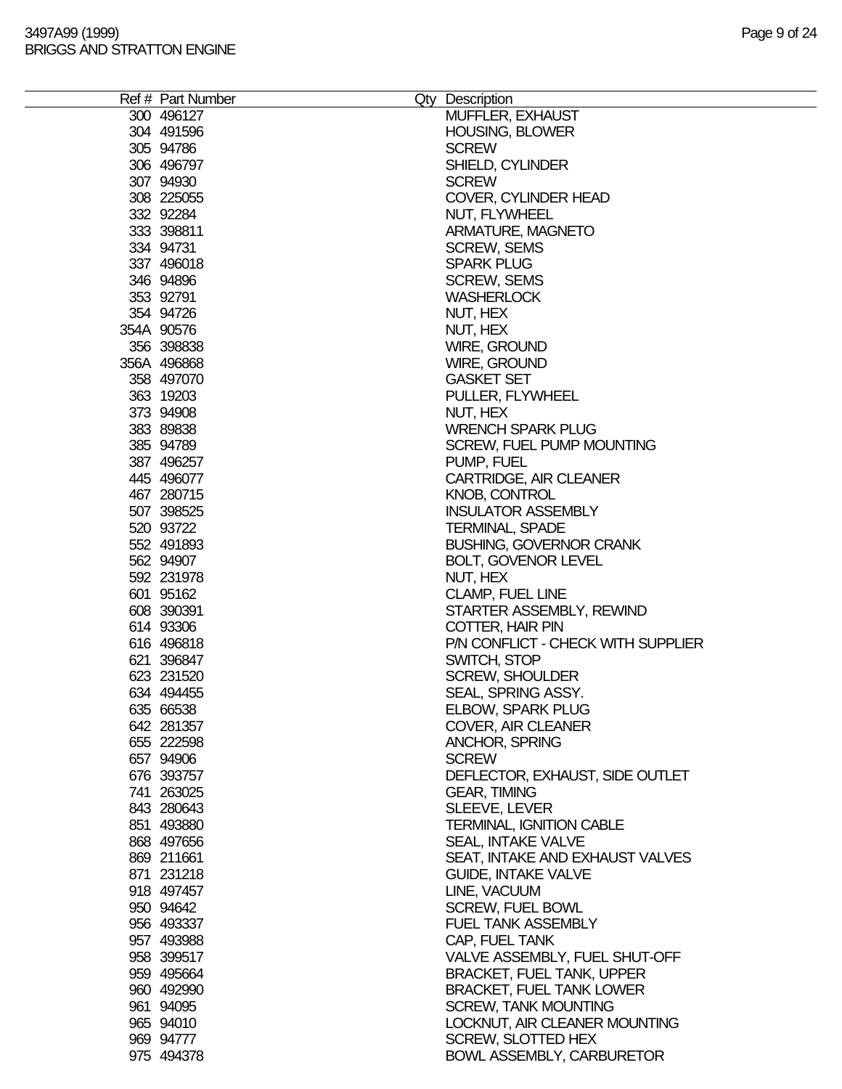| Ref # Part Number        | Qty Description                            |
|--------------------------|--------------------------------------------|
| 300 496127               | MUFFLER, EXHAUST                           |
| 304 491596               | <b>HOUSING, BLOWER</b>                     |
| 305 94786                | <b>SCREW</b>                               |
| 306 496797               | SHIELD, CYLINDER                           |
| 307 94930                | <b>SCREW</b>                               |
| 308 225055               | COVER, CYLINDER HEAD                       |
| 332 92284                | NUT, FLYWHEEL                              |
| 333 398811               | ARMATURE, MAGNETO                          |
| 334 94731                | <b>SCREW, SEMS</b>                         |
| 337 496018               | <b>SPARK PLUG</b>                          |
| 346 94896                | <b>SCREW, SEMS</b>                         |
| 353 92791                | <b>WASHERLOCK</b>                          |
| 354 94726                | NUT, HEX                                   |
| 354A 90576               | NUT, HEX                                   |
| 356 398838               | WIRE, GROUND                               |
| 356A 496868              | WIRE, GROUND                               |
| 358 497070               | <b>GASKET SET</b>                          |
| 363 19203                | PULLER, FLYWHEEL                           |
| 373 94908                | NUT, HEX                                   |
| 383 89838                | <b>WRENCH SPARK PLUG</b>                   |
| 385 94789                | SCREW, FUEL PUMP MOUNTING                  |
| 387 496257               | PUMP, FUEL                                 |
| 445 496077<br>467 280715 | CARTRIDGE, AIR CLEANER                     |
| 507 398525               | KNOB, CONTROL<br><b>INSULATOR ASSEMBLY</b> |
| 520 93722                | <b>TERMINAL, SPADE</b>                     |
| 552 491893               | <b>BUSHING, GOVERNOR CRANK</b>             |
| 562 94907                | <b>BOLT, GOVENOR LEVEL</b>                 |
| 592 231978               | NUT, HEX                                   |
| 601 95162                | <b>CLAMP, FUEL LINE</b>                    |
| 608 390391               | STARTER ASSEMBLY, REWIND                   |
| 614 93306                | COTTER, HAIR PIN                           |
| 616 496818               | P/N CONFLICT - CHECK WITH SUPPLIER         |
| 621 396847               | SWITCH, STOP                               |
| 623 231520               | <b>SCREW, SHOULDER</b>                     |
| 634 494455               | SEAL, SPRING ASSY.                         |
| 635 66538                | ELBOW, SPARK PLUG                          |
| 642 281357               | COVER, AIR CLEANER                         |
| 655 222598               | <b>ANCHOR, SPRING</b>                      |
| 657 94906                | <b>SCREW</b>                               |
| 676 393757               | DEFLECTOR, EXHAUST, SIDE OUTLET            |
| 741 263025<br>843 280643 | <b>GEAR, TIMING</b><br>SLEEVE, LEVER       |
| 851 493880               | <b>TERMINAL, IGNITION CABLE</b>            |
| 868 497656               | <b>SEAL, INTAKE VALVE</b>                  |
| 869 211661               | SEAT, INTAKE AND EXHAUST VALVES            |
| 871 231218               | <b>GUIDE, INTAKE VALVE</b>                 |
| 918 497457               | LINE, VACUUM                               |
| 950 94642                | <b>SCREW, FUEL BOWL</b>                    |
| 956 493337               | <b>FUEL TANK ASSEMBLY</b>                  |
| 957 493988               | CAP, FUEL TANK                             |
| 958 399517               | VALVE ASSEMBLY, FUEL SHUT-OFF              |
| 959 495664               | <b>BRACKET, FUEL TANK, UPPER</b>           |
| 960 492990               | <b>BRACKET, FUEL TANK LOWER</b>            |
| 961 94095                | <b>SCREW, TANK MOUNTING</b>                |
| 965 94010                | LOCKNUT, AIR CLEANER MOUNTING              |
| 969 94777                | <b>SCREW, SLOTTED HEX</b>                  |
| 975 494378               | <b>BOWL ASSEMBLY, CARBURETOR</b>           |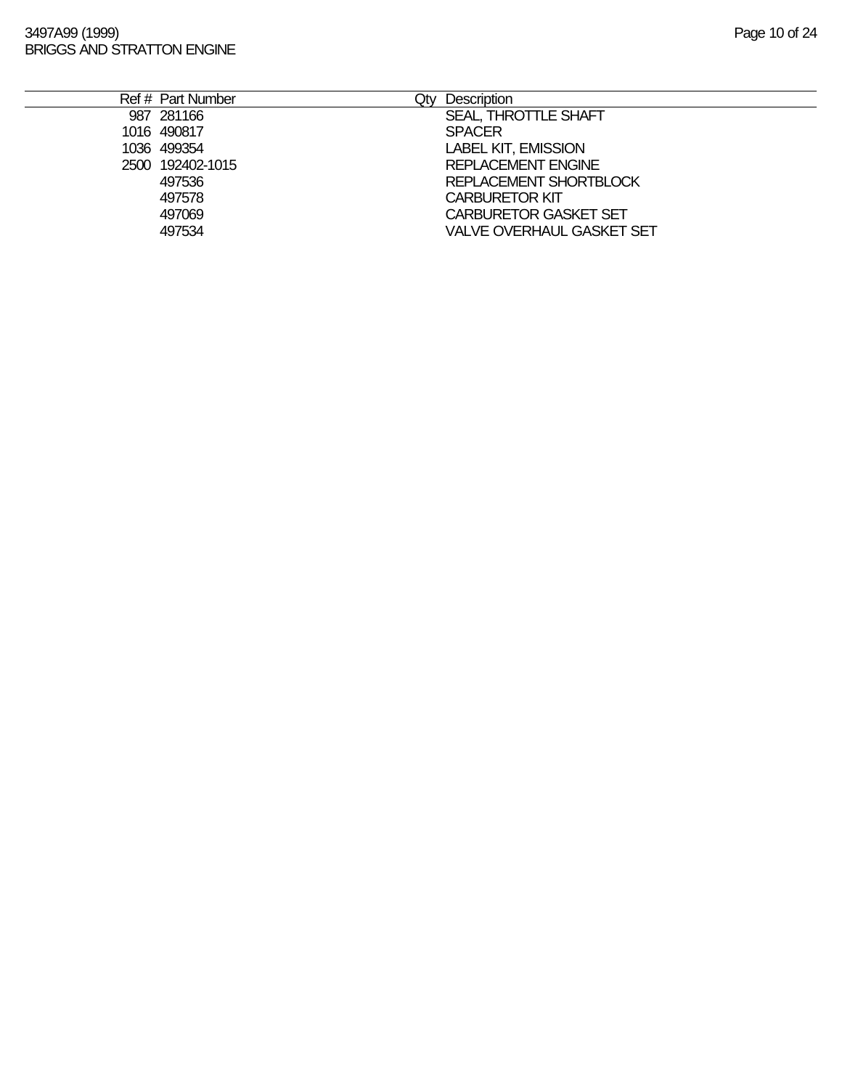| Ref # Part Number | Qtv | Description                      |
|-------------------|-----|----------------------------------|
| 987 281166        |     | SEAL, THROTTLE SHAFT             |
| 1016 490817       |     | <b>SPACER</b>                    |
| 1036 499354       |     | <b>LABEL KIT, EMISSION</b>       |
| 2500 192402-1015  |     | <b>REPLACEMENT ENGINE</b>        |
| 497536            |     | REPLACEMENT SHORTBLOCK           |
| 497578            |     | <b>CARBURETOR KIT</b>            |
| 497069            |     | <b>CARBURETOR GASKET SET</b>     |
| 497534            |     | <b>VALVE OVERHAUL GASKET SET</b> |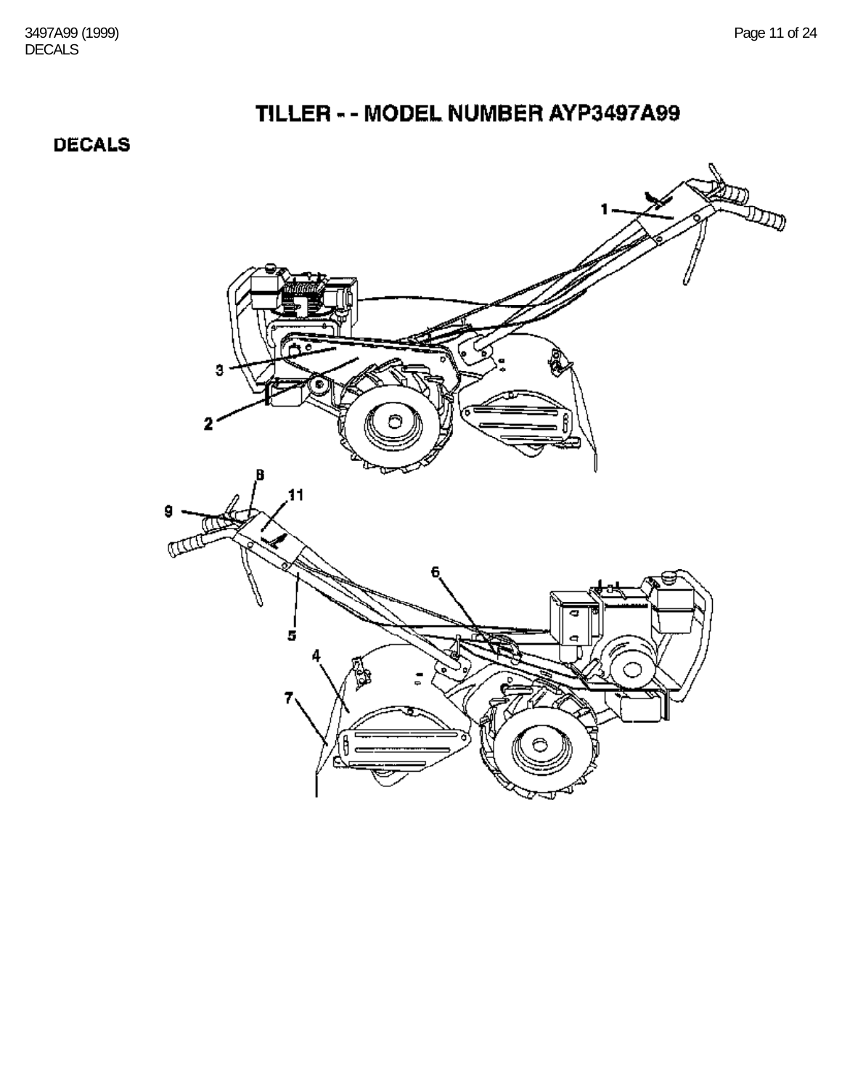3497A99 (1999) Page 11 of 24 DECALS

# TILLER - - MODEL NUMBER AYP3497A99

**DECALS** 

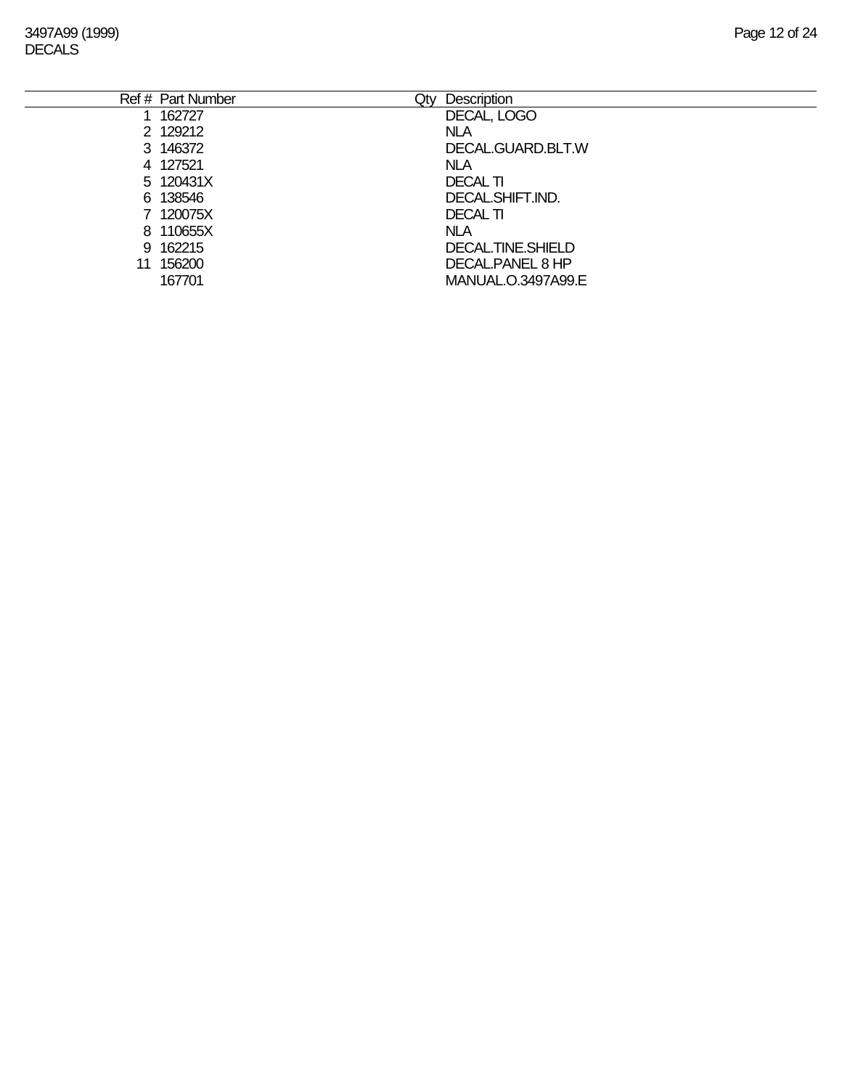3497A99 (1999) Page 12 of 24 DECALS

|    | Ref # Part Number | Qty | Description        |
|----|-------------------|-----|--------------------|
|    | 1 162727          |     | DECAL, LOGO        |
|    | 2 129212          |     | <b>NLA</b>         |
|    | 3 146372          |     | DECAL.GUARD.BLT.W  |
|    | 4 127521          |     | <b>NLA</b>         |
|    | 5 120431X         |     | <b>DECAL TI</b>    |
|    | 6 138546          |     | DECAL.SHIFT.IND.   |
|    | 7 120075X         |     | <b>DECAL TI</b>    |
|    | 8 110655X         |     | <b>NLA</b>         |
|    | 9 162215          |     | DECAL.TINE.SHIELD  |
| 11 | 156200            |     | DECAL PANEL 8 HP   |
|    | 167701            |     | MANUAL.O.3497A99.E |
|    |                   |     |                    |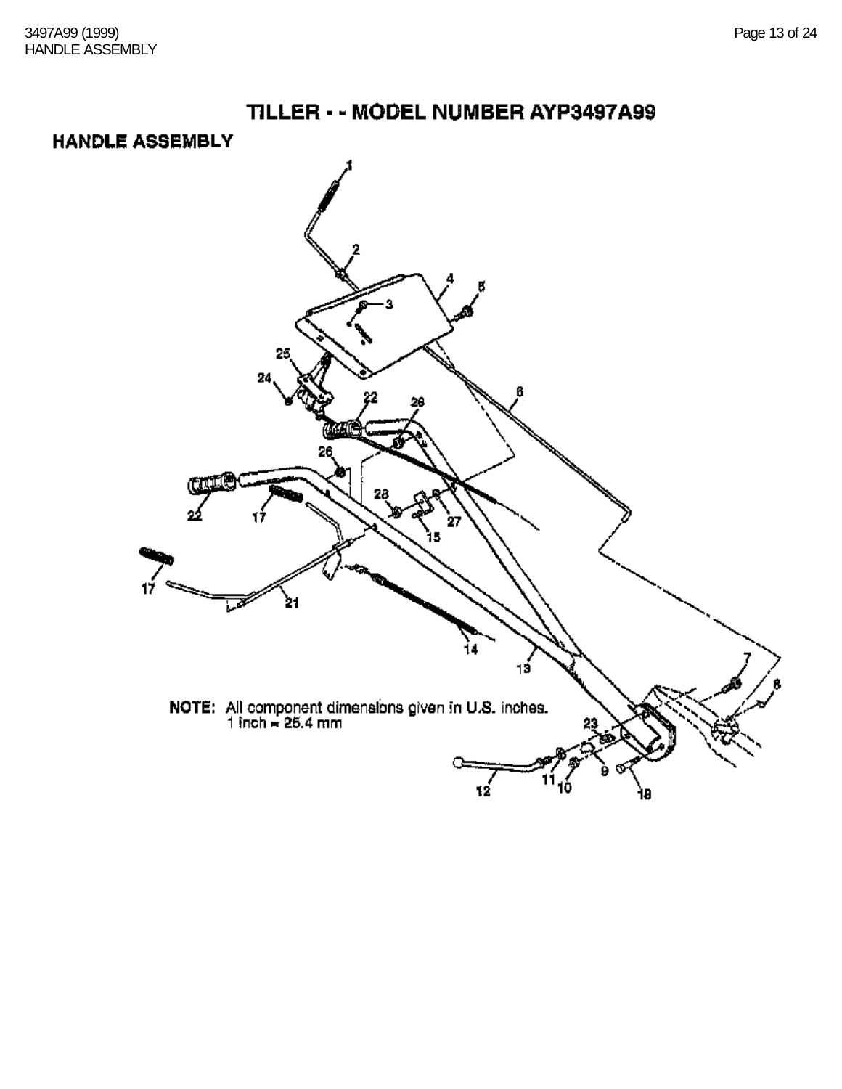#### **HANDLE ASSEMBLY**

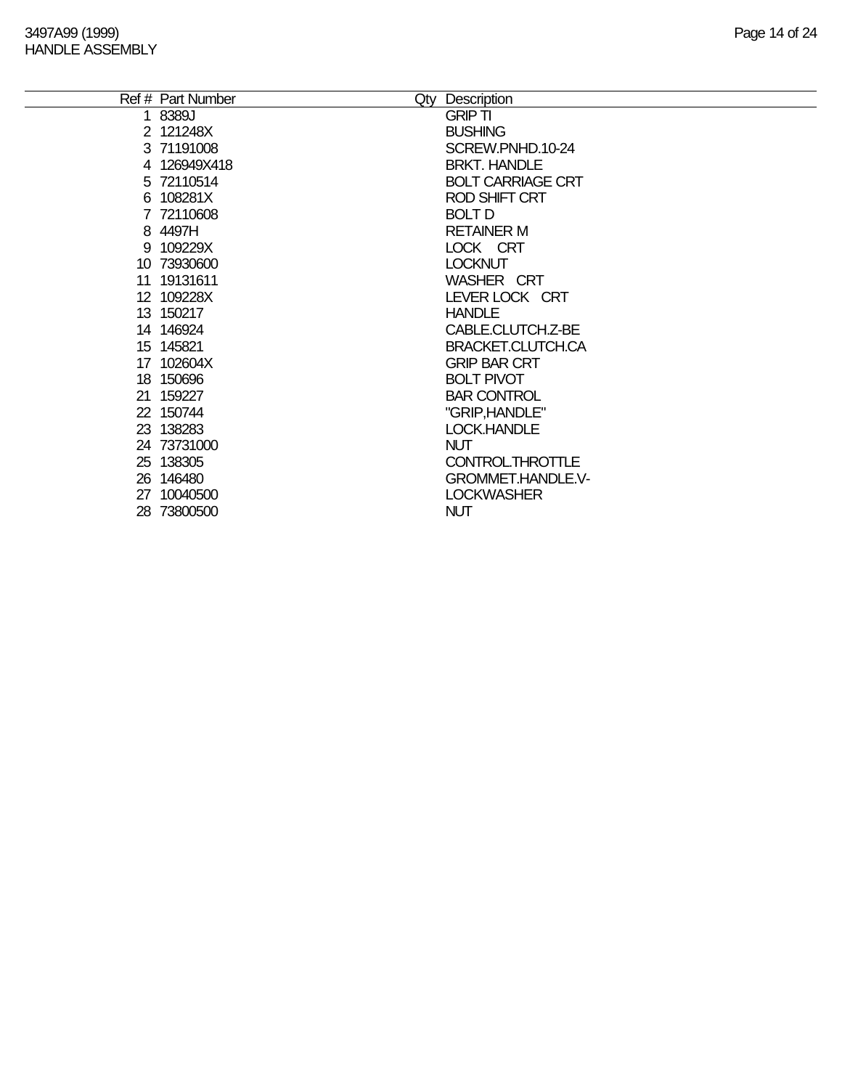|    | Ref # Part Number | Qty Description          |
|----|-------------------|--------------------------|
|    | 1 8389J           | <b>GRIP TI</b>           |
|    | 2 121248X         | <b>BUSHING</b>           |
|    | 3 71191008        | SCREW.PNHD.10-24         |
|    | 4 126949X418      | <b>BRKT. HANDLE</b>      |
|    | 5 72110514        | <b>BOLT CARRIAGE CRT</b> |
|    | 6 108281X         | <b>ROD SHIFT CRT</b>     |
|    | 7 72110608        | <b>BOLT D</b>            |
|    | 8 4497H           | <b>RETAINER M</b>        |
|    | 9 109229X         | LOCK CRT                 |
|    | 10 73930600       | <b>LOCKNUT</b>           |
|    | 11 19131611       | <b>WASHER CRT</b>        |
|    | 12 109228X        | LEVER LOCK CRT           |
|    | 13 150217         | <b>HANDLE</b>            |
|    | 14 146924         | CABLE.CLUTCH.Z-BE        |
|    | 15 145821         | BRACKET.CLUTCH.CA        |
|    | 17 102604X        | <b>GRIP BAR CRT</b>      |
|    | 18 150696         | <b>BOLT PIVOT</b>        |
|    | 21 159227         | <b>BAR CONTROL</b>       |
|    | 22 150744         | "GRIP, HANDLE"           |
|    | 23 138283         | LOCK.HANDLE              |
|    | 24 73731000       | <b>NUT</b>               |
|    | 25 138305         | CONTROLTHROTTLE          |
|    | 26 146480         | <b>GROMMET.HANDLE.V-</b> |
| 27 | 10040500          | <b>LOCKWASHER</b>        |
|    | 28 73800500       | <b>NUT</b>               |
|    |                   |                          |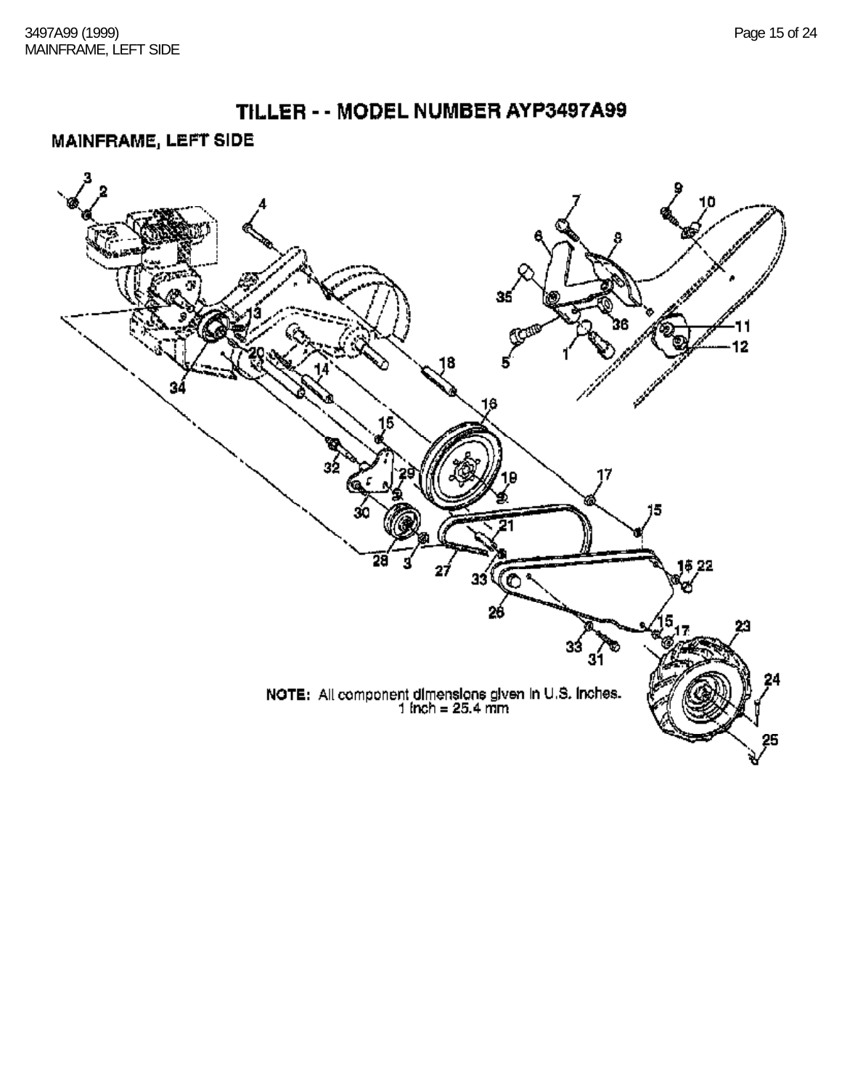#### MAINFRAME, LEFT SIDE

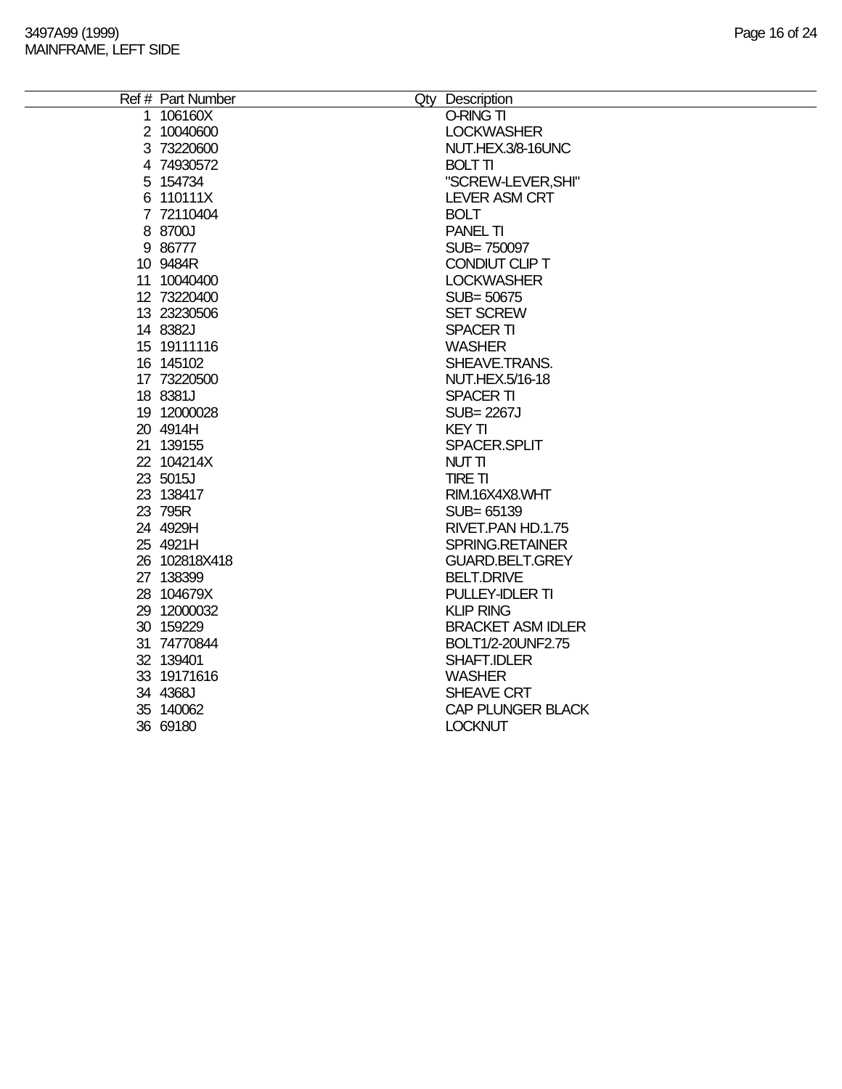| Ref # Part Number | Qty Description          |
|-------------------|--------------------------|
| 1 106160X         | O-RING TI                |
| 2 10040600        | <b>LOCKWASHER</b>        |
| 3 73220600        | NUT.HEX.3/8-16UNC        |
| 4 74930572        | <b>BOLT TI</b>           |
| 5 154734          | "SCREW-LEVER, SHI"       |
| 6 110111X         | <b>LEVER ASM CRT</b>     |
| 7 72110404        | <b>BOLT</b>              |
| 8 8700J           | <b>PANEL TI</b>          |
| 9 86777           | SUB=750097               |
| 10 9484R          | CONDIUT CLIP T           |
| 11 10040400       | <b>LOCKWASHER</b>        |
| 12 73220400       | SUB=50675                |
| 13 23230506       | <b>SET SCREW</b>         |
| 14 8382J          | <b>SPACER TI</b>         |
| 15 19111116       | <b>WASHER</b>            |
| 16 145102         | SHEAVE.TRANS.            |
| 17 73220500       | NUT.HEX.5/16-18          |
| 18 8381J          | <b>SPACER TI</b>         |
| 19 12000028       | <b>SUB=2267J</b>         |
| 20 4914H          | <b>KEY TI</b>            |
| 21 139155         | SPACER.SPLIT             |
| 22 104214X        | NUT TI                   |
| 23 5015J          | <b>TIRE TI</b>           |
| 23 138417         | RIM.16X4X8.WHT           |
| 23 795R           | SUB= 65139               |
| 24 4929H          | RIVET.PAN HD.1.75        |
| 25 4921H          | SPRING.RETAINER          |
| 26 102818X418     | <b>GUARD.BELT.GREY</b>   |
| 27 138399         | <b>BELT.DRIVE</b>        |
| 28 104679X        | PULLEY-IDLER TI          |
| 29 12000032       | <b>KLIP RING</b>         |
| 30 159229         | <b>BRACKET ASM IDLER</b> |
| 31 74770844       | BOLT1/2-20UNF2.75        |
| 32 139401         | SHAFT.IDLER              |
| 33 19171616       | <b>WASHER</b>            |
| 34 4368J          | SHEAVE CRT               |
| 35 140062         | <b>CAP PLUNGER BLACK</b> |
| 36 69180          | <b>LOCKNUT</b>           |
|                   |                          |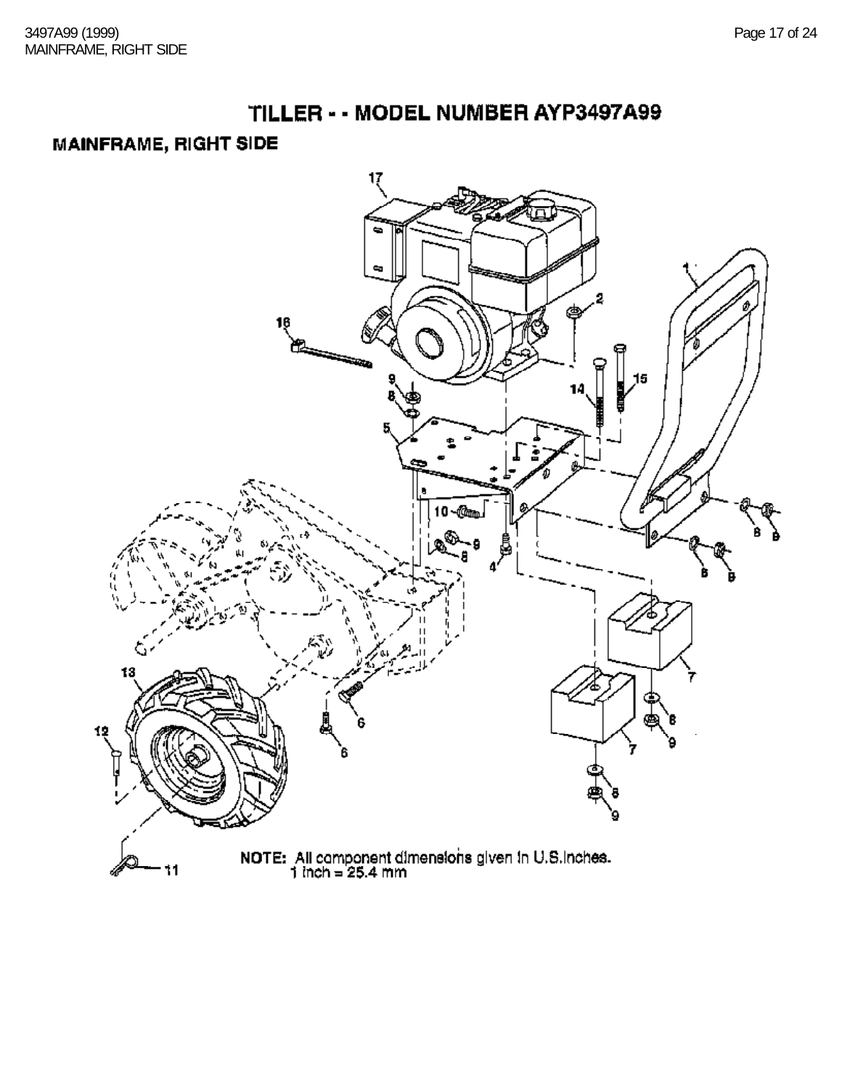### TILLER - - MODEL NUMBER AYP3497A99

## **MAINFRAME, RIGHT SIDE**

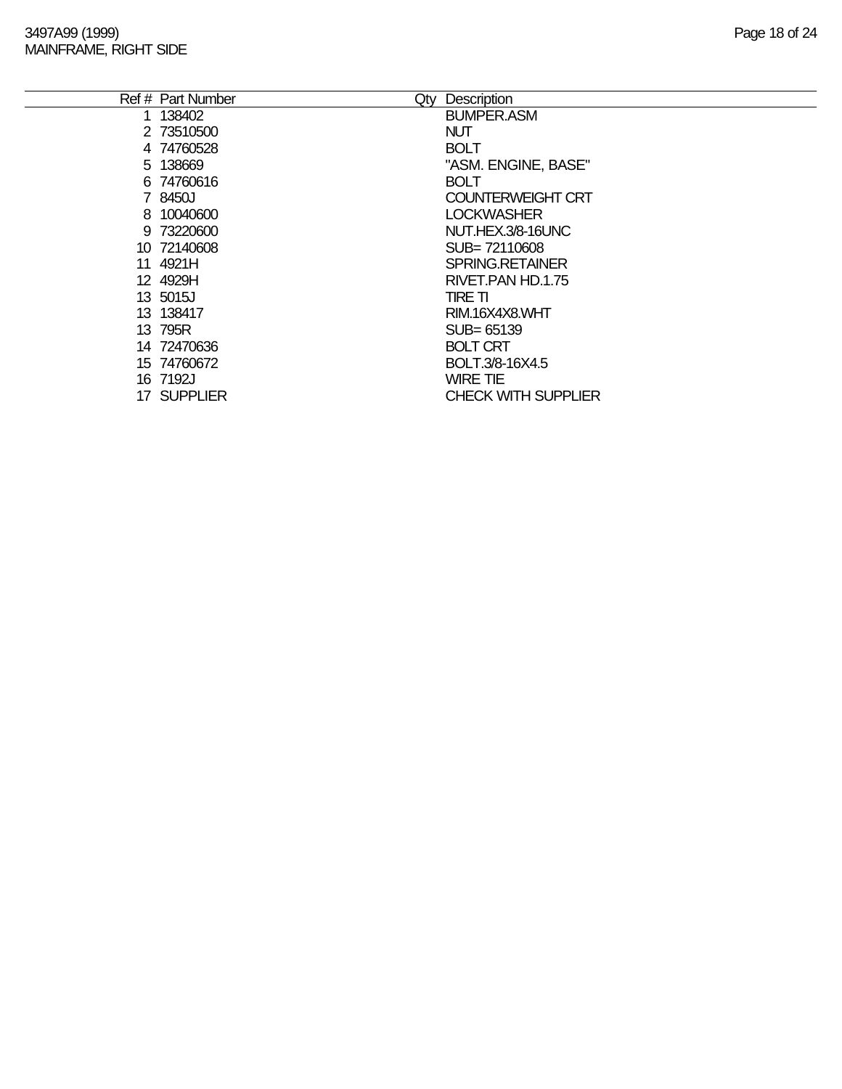| Ref # Part Number<br>Qty | Description                |
|--------------------------|----------------------------|
| 1 138402                 | <b>BUMPER.ASM</b>          |
| 2 73510500               | <b>NUT</b>                 |
| 4 74760528               | <b>BOLT</b>                |
| 5 138669                 | "ASM. ENGINE, BASE"        |
| 6 74760616               | <b>BOLT</b>                |
| 7 8450J                  | <b>COUNTERWEIGHT CRT</b>   |
| 8 10040600               | <b>LOCKWASHER</b>          |
| 9 73220600               | NUT.HEX.3/8-16UNC          |
| 10 72140608              | SUB= 72110608              |
| 11 4921H                 | <b>SPRING.RETAINER</b>     |
| 12 4929H                 | RIVET.PAN HD.1.75          |
| 13 5015J                 | TIRE TI                    |
| 13 138417                | RIM.16X4X8.WHT             |
| 13 795R                  | $SUB = 65139$              |
| 14 72470636              | <b>BOLT CRT</b>            |
| 15 74760672              | BOLT.3/8-16X4.5            |
| 16 7192J                 | <b>WIRE TIE</b>            |
| 17 SUPPLIER              | <b>CHECK WITH SUPPLIER</b> |
|                          |                            |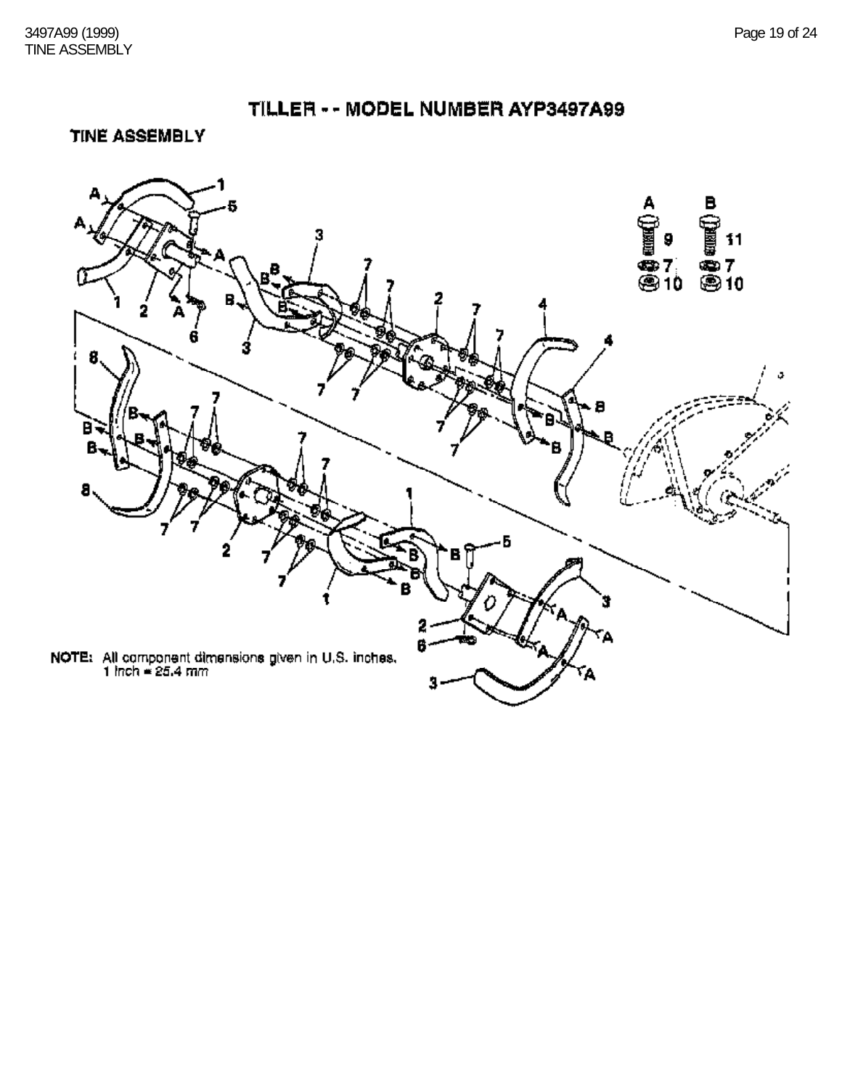TINE ASSEMBLY

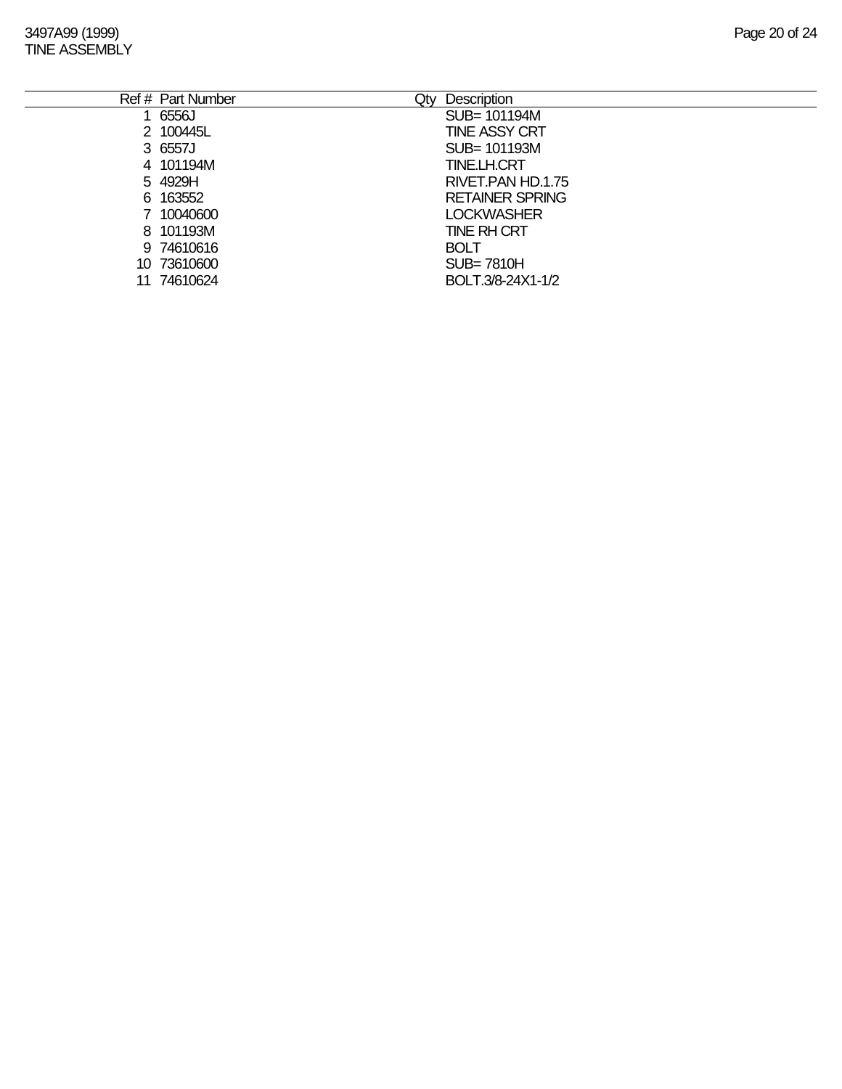3497A99 (1999) Page 20 of 24 TINE ASSEMBLY

|    | Ref # Part Number | Qty | <b>Description</b>     |
|----|-------------------|-----|------------------------|
|    | 6556J             |     | SUB= 101194M           |
|    | 2 100445L         |     | <b>TINE ASSY CRT</b>   |
|    | 3 6557J           |     | SUB= 101193M           |
|    | 4 101194M         |     | <b>TINE.LH.CRT</b>     |
|    | 5 4929H           |     | RIVET.PAN HD.1.75      |
|    | 6 163552          |     | <b>RETAINER SPRING</b> |
|    | 7 10040600        |     | <b>LOCKWASHER</b>      |
|    | 8 101193M         |     | <b>TINE RH CRT</b>     |
|    | 9 74610616        |     | <b>BOLT</b>            |
|    | 10 73610600       |     | $SUB = 7810H$          |
| 11 | 74610624          |     | BOLT.3/8-24X1-1/2      |
|    |                   |     |                        |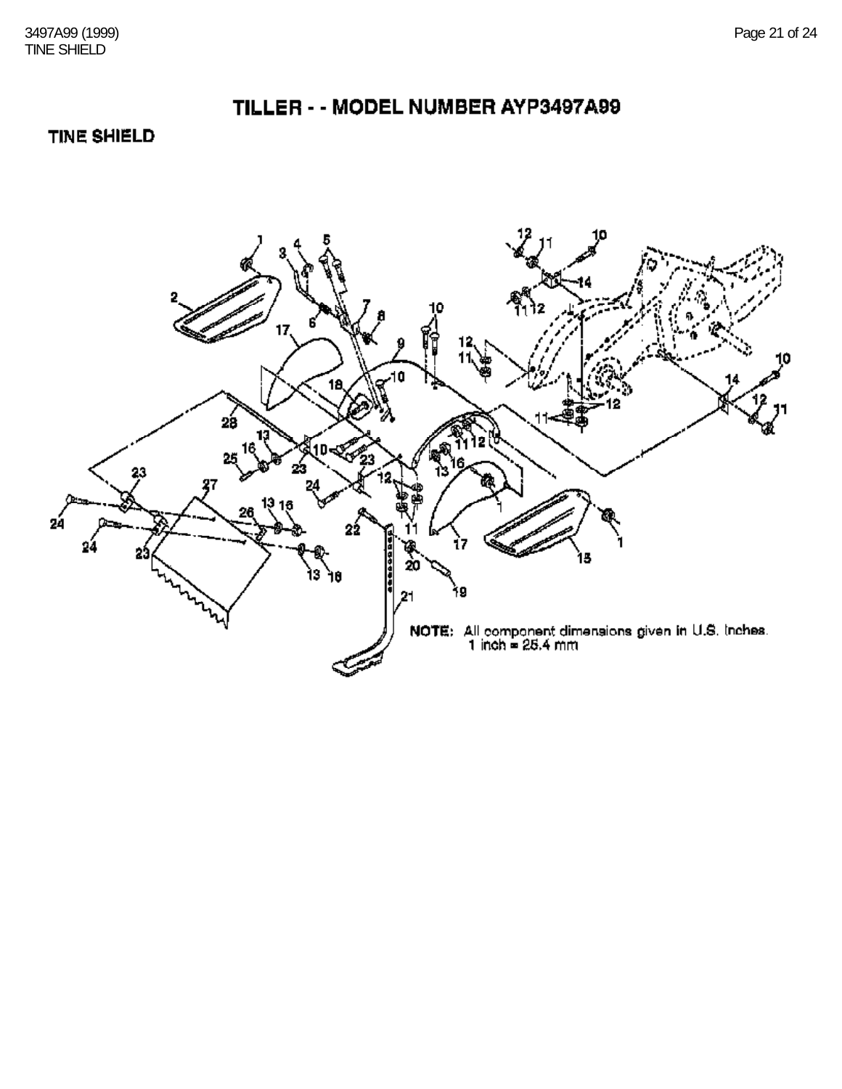### TILLER - - MODEL NUMBER AYP3497A99

#### TINE SHIELD

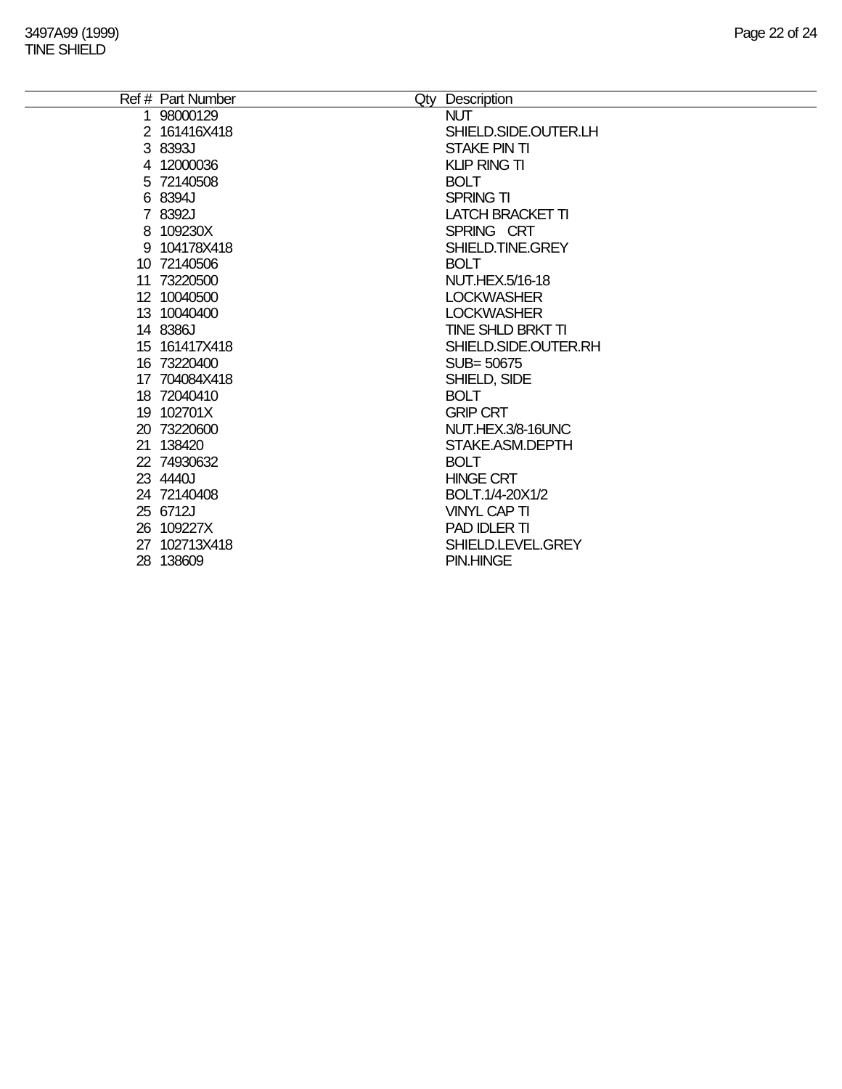| Ref # Part Number | Qty Description         |
|-------------------|-------------------------|
| 1 98000129        | <b>NUT</b>              |
| 2 161416X418      | SHIELD.SIDE.OUTER.LH    |
| 3 8393J           | STAKE PIN TI            |
| 4 12000036        | <b>KLIP RING TI</b>     |
| 5 72140508        | <b>BOLT</b>             |
| 6 8394J           | <b>SPRING TI</b>        |
| 7 8392J           | <b>LATCH BRACKET TI</b> |
| 8 109230X         | SPRING CRT              |
| 9 104178X418      | SHIELD.TINE.GREY        |
| 10 72140506       | <b>BOLT</b>             |
| 11 73220500       | NUT.HEX.5/16-18         |
| 12 10040500       | <b>LOCKWASHER</b>       |
| 13 10040400       | <b>LOCKWASHER</b>       |
| 14 8386J          | TINE SHLD BRKT TI       |
| 15 161417X418     | SHIELD.SIDE.OUTER.RH    |
| 16 73220400       | SUB= 50675              |
| 17 704084X418     | SHIELD, SIDE            |
| 18 72040410       | <b>BOLT</b>             |
| 19 102701X        | <b>GRIP CRT</b>         |
| 20 73220600       | NUT.HEX.3/8-16UNC       |
| 21 138420         | STAKE.ASM.DEPTH         |
| 22 74930632       | <b>BOLT</b>             |
| 23 4440J          | <b>HINGE CRT</b>        |
| 24 72140408       | BOLT.1/4-20X1/2         |
| 25 6712J          | <b>VINYL CAP TI</b>     |
| 26 109227X        | PAD IDLER TI            |
| 27 102713X418     | SHIELD.LEVEL.GREY       |
| 28 138609         | <b>PIN.HINGE</b>        |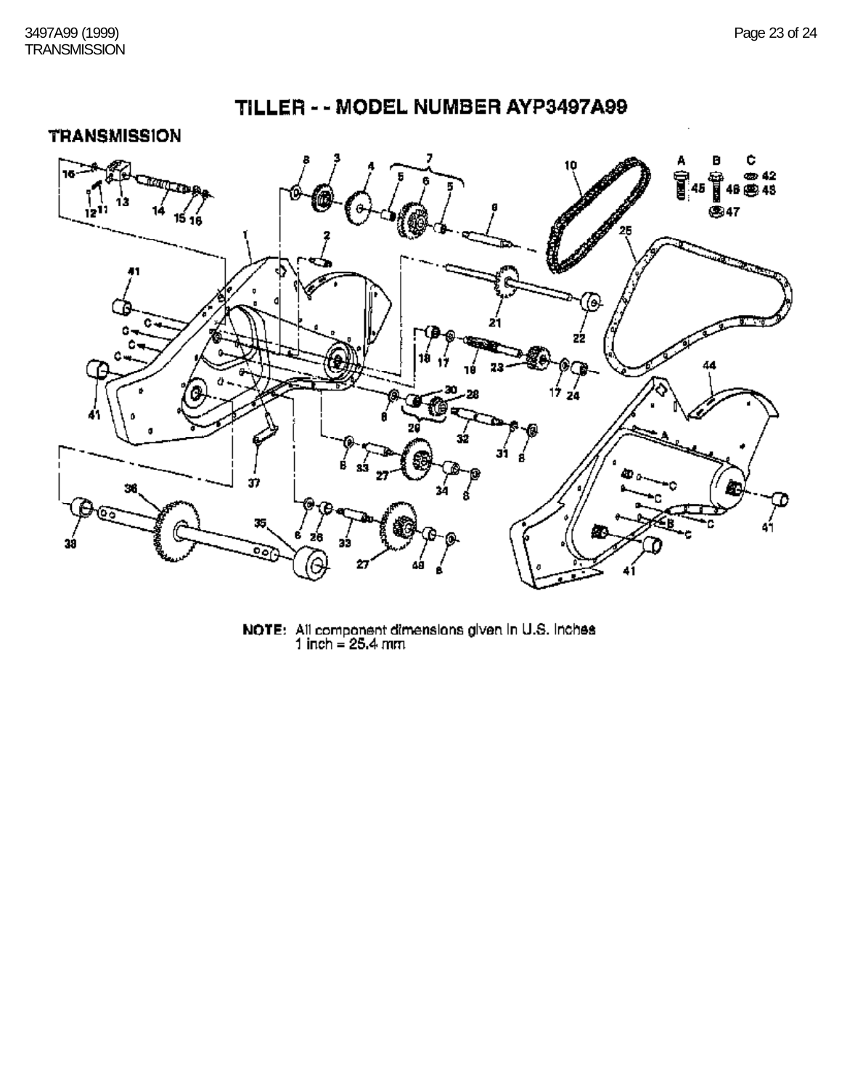

## TILLER - - MODEL NUMBER AYP3497A99

NOTE: All component dimensions given in U.S. Inches<br>1 inch = 25.4 mm